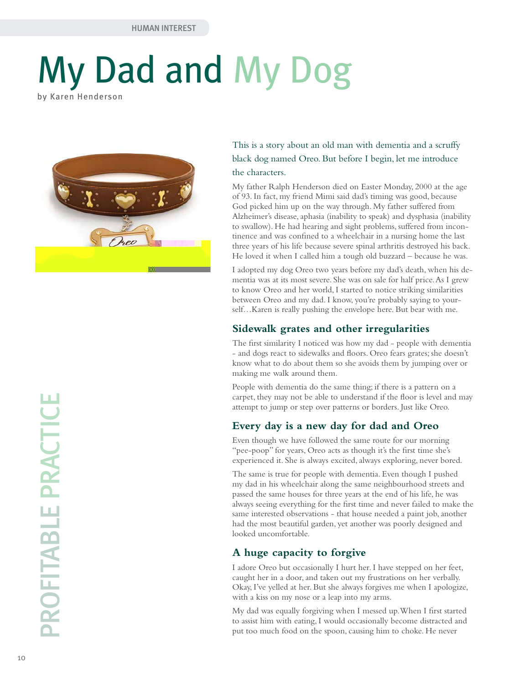# My Dad and My Dog by Karen Henderson



This is a story about an old man with dementia and a scruffy black dog named Oreo. But before I begin, let me introduce the characters.

My father Ralph Henderson died on Easter Monday, 2000 at the age of 93. In fact, my friend Mimi said dad's timing was good, because God picked him up on the way through. My father suffered from Alzheimer's disease, aphasia (inability to speak) and dysphasia (inability to swallow). He had hearing and sight problems, suffered from incontinence and was confined to a wheelchair in a nursing home the last three years of his life because severe spinal arthritis destroyed his back. He loved it when I called him a tough old buzzard – because he was.

I adopted my dog Oreo two years before my dad's death, when his dementia was at its most severe. She was on sale for half price. As I grew to know Oreo and her world, I started to notice striking similarities between Oreo and my dad. I know, you're probably saying to yourself…Karen is really pushing the envelope here. But bear with me.

#### **Sidewalk grates and other irregularities**

The first similarity I noticed was how my dad - people with dementia - and dogs react to sidewalks and floors. Oreo fears grates; she doesn't know what to do about them so she avoids them by jumping over or making me walk around them.

People with dementia do the same thing; if there is a pattern on a carpet, they may not be able to understand if the floor is level and may attempt to jump or step over patterns or borders. Just like Oreo.

# **Every day is a new day for dad and Oreo**

Even though we have followed the same route for our morning "pee-poop" for years, Oreo acts as though it's the first time she's experienced it. She is always excited, always exploring, never bored.

The same is true for people with dementia. Even though I pushed my dad in his wheelchair along the same neighbourhood streets and passed the same houses for three years at the end of his life, he was always seeing everything for the first time and never failed to make the same interested observations - that house needed a paint job, another had the most beautiful garden, yet another was poorly designed and looked uncomfortable.

# **A huge capacity to forgive**

I adore Oreo but occasionally I hurt her. I have stepped on her feet, caught her in a door, and taken out my frustrations on her verbally. Okay, I've yelled at her. But she always forgives me when I apologize, with a kiss on my nose or a leap into my arms.

My dad was equally forgiving when I messed up. When I first started to assist him with eating, I would occasionally become distracted and put too much food on the spoon, causing him to choke. He never